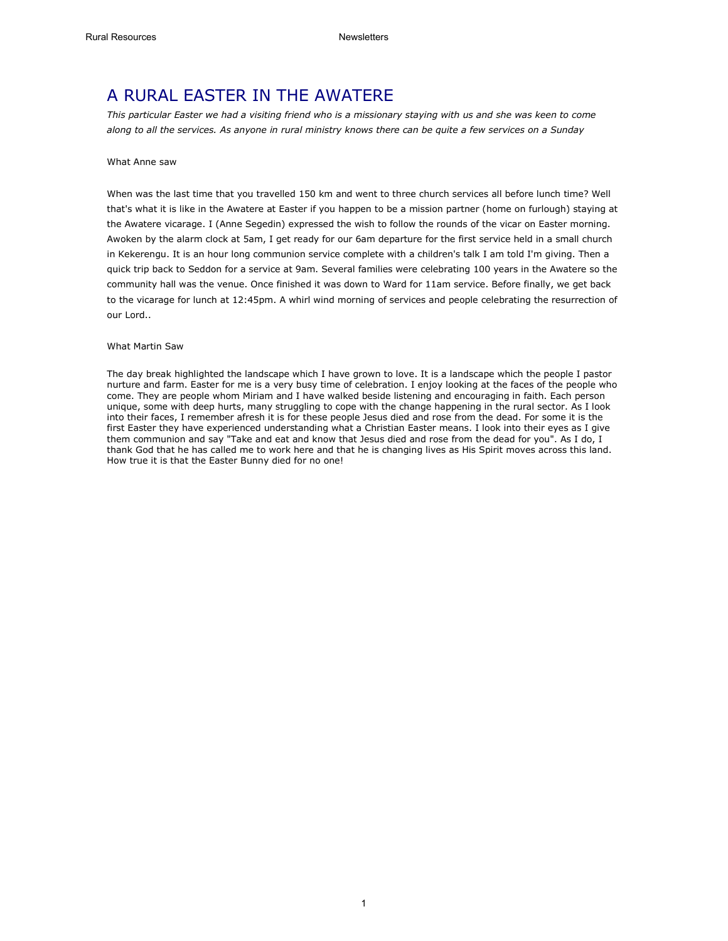### A RURAL EASTER IN THE AWATERE

This particular Easter we had a visiting friend who is a missionary staying with us and she was keen to come along to all the services. As anyone in rural ministry knows there can be quite a few services on a Sunday

#### What Anne saw

When was the last time that you travelled 150 km and went to three church services all before lunch time? Well that's what it is like in the Awatere at Easter if you happen to be a mission partner (home on furlough) staying at the Awatere vicarage. I (Anne Segedin) expressed the wish to follow the rounds of the vicar on Easter morning. Awoken by the alarm clock at 5am, I get ready for our 6am departure for the first service held in a small church in Kekerengu. It is an hour long communion service complete with a children's talk I am told I'm giving. Then a quick trip back to Seddon for a service at 9am. Several families were celebrating 100 years in the Awatere so the community hall was the venue. Once finished it was down to Ward for 11am service. Before finally, we get back to the vicarage for lunch at 12:45pm. A whirl wind morning of services and people celebrating the resurrection of our Lord..

#### What Martin Saw

The day break highlighted the landscape which I have grown to love. It is a landscape which the people I pastor nurture and farm. Easter for me is a very busy time of celebration. I enjoy looking at the faces of the people who come. They are people whom Miriam and I have walked beside listening and encouraging in faith. Each person unique, some with deep hurts, many struggling to cope with the change happening in the rural sector. As I look into their faces, I remember afresh it is for these people Jesus died and rose from the dead. For some it is the first Easter they have experienced understanding what a Christian Easter means. I look into their eyes as I give them communion and say "Take and eat and know that Jesus died and rose from the dead for you". As I do, I thank God that he has called me to work here and that he is changing lives as His Spirit moves across this land. How true it is that the Easter Bunny died for no one!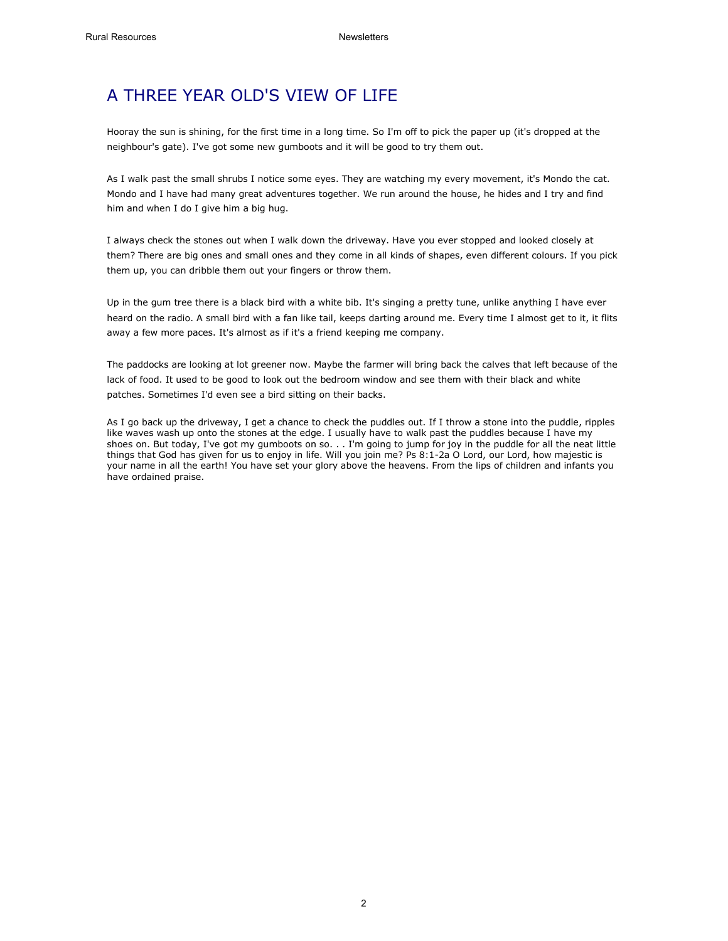# A THREE YEAR OLD'S VIEW OF LIFE

Hooray the sun is shining, for the first time in a long time. So I'm off to pick the paper up (it's dropped at the neighbour's gate). I've got some new gumboots and it will be good to try them out.

As I walk past the small shrubs I notice some eyes. They are watching my every movement, it's Mondo the cat. Mondo and I have had many great adventures together. We run around the house, he hides and I try and find him and when I do I give him a big hug.

I always check the stones out when I walk down the driveway. Have you ever stopped and looked closely at them? There are big ones and small ones and they come in all kinds of shapes, even different colours. If you pick them up, you can dribble them out your fingers or throw them.

Up in the gum tree there is a black bird with a white bib. It's singing a pretty tune, unlike anything I have ever heard on the radio. A small bird with a fan like tail, keeps darting around me. Every time I almost get to it, it flits away a few more paces. It's almost as if it's a friend keeping me company.

The paddocks are looking at lot greener now. Maybe the farmer will bring back the calves that left because of the lack of food. It used to be good to look out the bedroom window and see them with their black and white patches. Sometimes I'd even see a bird sitting on their backs.

As I go back up the driveway, I get a chance to check the puddles out. If I throw a stone into the puddle, ripples like waves wash up onto the stones at the edge. I usually have to walk past the puddles because I have my shoes on. But today, I've got my gumboots on so. . . I'm going to jump for joy in the puddle for all the neat little things that God has given for us to enjoy in life. Will you join me? Ps 8:1-2a O Lord, our Lord, how majestic is your name in all the earth! You have set your glory above the heavens. From the lips of children and infants you have ordained praise.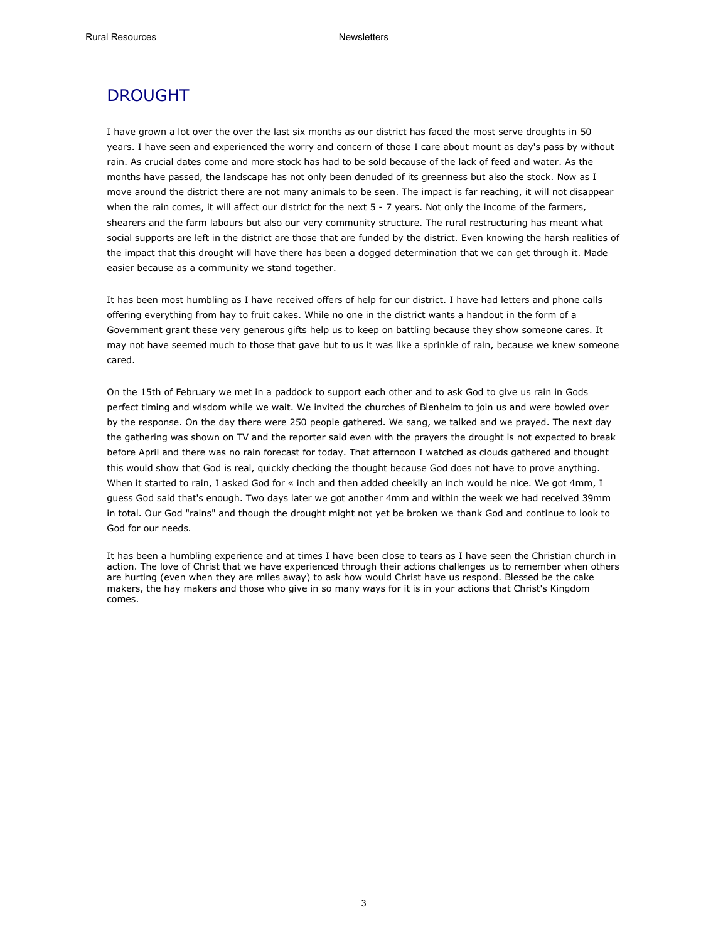#### DROUGHT

I have grown a lot over the over the last six months as our district has faced the most serve droughts in 50 years. I have seen and experienced the worry and concern of those I care about mount as day's pass by without rain. As crucial dates come and more stock has had to be sold because of the lack of feed and water. As the months have passed, the landscape has not only been denuded of its greenness but also the stock. Now as I move around the district there are not many animals to be seen. The impact is far reaching, it will not disappear when the rain comes, it will affect our district for the next 5 - 7 years. Not only the income of the farmers, shearers and the farm labours but also our very community structure. The rural restructuring has meant what social supports are left in the district are those that are funded by the district. Even knowing the harsh realities of the impact that this drought will have there has been a dogged determination that we can get through it. Made easier because as a community we stand together.

It has been most humbling as I have received offers of help for our district. I have had letters and phone calls offering everything from hay to fruit cakes. While no one in the district wants a handout in the form of a Government grant these very generous gifts help us to keep on battling because they show someone cares. It may not have seemed much to those that gave but to us it was like a sprinkle of rain, because we knew someone cared.

On the 15th of February we met in a paddock to support each other and to ask God to give us rain in Gods perfect timing and wisdom while we wait. We invited the churches of Blenheim to join us and were bowled over by the response. On the day there were 250 people gathered. We sang, we talked and we prayed. The next day the gathering was shown on TV and the reporter said even with the prayers the drought is not expected to break before April and there was no rain forecast for today. That afternoon I watched as clouds gathered and thought this would show that God is real, quickly checking the thought because God does not have to prove anything. When it started to rain, I asked God for « inch and then added cheekily an inch would be nice. We got 4mm, I guess God said that's enough. Two days later we got another 4mm and within the week we had received 39mm in total. Our God "rains" and though the drought might not yet be broken we thank God and continue to look to God for our needs.

It has been a humbling experience and at times I have been close to tears as I have seen the Christian church in action. The love of Christ that we have experienced through their actions challenges us to remember when others are hurting (even when they are miles away) to ask how would Christ have us respond. Blessed be the cake makers, the hay makers and those who give in so many ways for it is in your actions that Christ's Kingdom comes.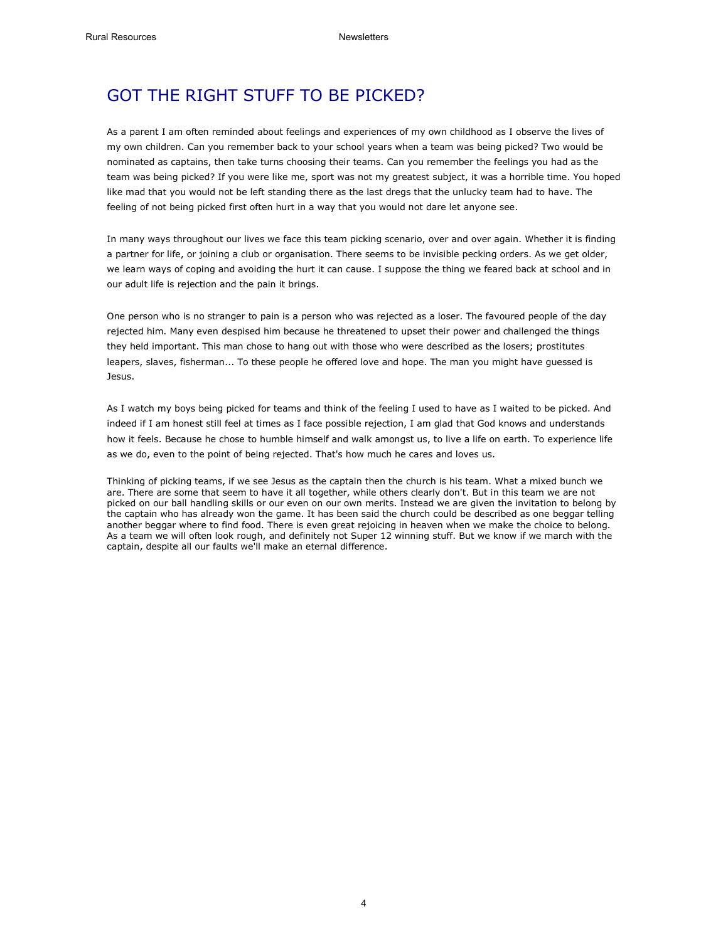#### GOT THE RIGHT STUFF TO BE PICKED?

As a parent I am often reminded about feelings and experiences of my own childhood as I observe the lives of my own children. Can you remember back to your school years when a team was being picked? Two would be nominated as captains, then take turns choosing their teams. Can you remember the feelings you had as the team was being picked? If you were like me, sport was not my greatest subject, it was a horrible time. You hoped like mad that you would not be left standing there as the last dregs that the unlucky team had to have. The feeling of not being picked first often hurt in a way that you would not dare let anyone see.

In many ways throughout our lives we face this team picking scenario, over and over again. Whether it is finding a partner for life, or joining a club or organisation. There seems to be invisible pecking orders. As we get older, we learn ways of coping and avoiding the hurt it can cause. I suppose the thing we feared back at school and in our adult life is rejection and the pain it brings.

One person who is no stranger to pain is a person who was rejected as a loser. The favoured people of the day rejected him. Many even despised him because he threatened to upset their power and challenged the things they held important. This man chose to hang out with those who were described as the losers; prostitutes leapers, slaves, fisherman... To these people he offered love and hope. The man you might have guessed is Jesus.

As I watch my boys being picked for teams and think of the feeling I used to have as I waited to be picked. And indeed if I am honest still feel at times as I face possible rejection, I am glad that God knows and understands how it feels. Because he chose to humble himself and walk amongst us, to live a life on earth. To experience life as we do, even to the point of being rejected. That's how much he cares and loves us.

Thinking of picking teams, if we see Jesus as the captain then the church is his team. What a mixed bunch we are. There are some that seem to have it all together, while others clearly don't. But in this team we are not picked on our ball handling skills or our even on our own merits. Instead we are given the invitation to belong by the captain who has already won the game. It has been said the church could be described as one beggar telling another beggar where to find food. There is even great rejoicing in heaven when we make the choice to belong. As a team we will often look rough, and definitely not Super 12 winning stuff. But we know if we march with the captain, despite all our faults we'll make an eternal difference.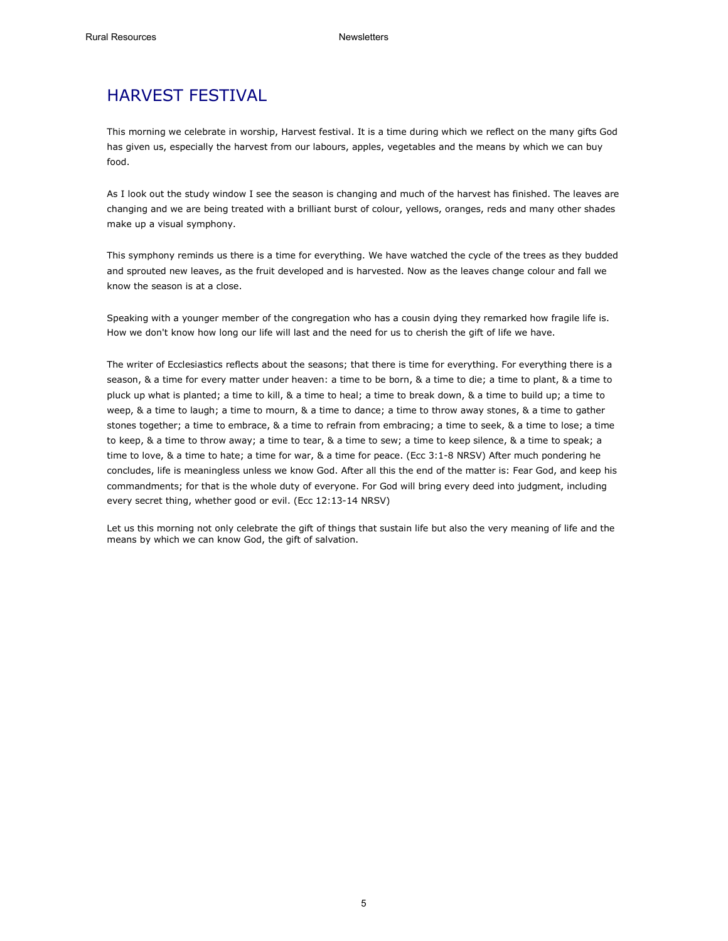# HARVEST FESTIVAL

This morning we celebrate in worship, Harvest festival. It is a time during which we reflect on the many gifts God has given us, especially the harvest from our labours, apples, vegetables and the means by which we can buy food.

As I look out the study window I see the season is changing and much of the harvest has finished. The leaves are changing and we are being treated with a brilliant burst of colour, yellows, oranges, reds and many other shades make up a visual symphony.

This symphony reminds us there is a time for everything. We have watched the cycle of the trees as they budded and sprouted new leaves, as the fruit developed and is harvested. Now as the leaves change colour and fall we know the season is at a close.

Speaking with a younger member of the congregation who has a cousin dying they remarked how fragile life is. How we don't know how long our life will last and the need for us to cherish the gift of life we have.

The writer of Ecclesiastics reflects about the seasons; that there is time for everything. For everything there is a season, & a time for every matter under heaven: a time to be born, & a time to die; a time to plant, & a time to pluck up what is planted; a time to kill, & a time to heal; a time to break down, & a time to build up; a time to weep, & a time to laugh; a time to mourn, & a time to dance; a time to throw away stones, & a time to gather stones together; a time to embrace, & a time to refrain from embracing; a time to seek, & a time to lose; a time to keep, & a time to throw away; a time to tear, & a time to sew; a time to keep silence, & a time to speak; a time to love, & a time to hate; a time for war, & a time for peace. (Ecc 3:1-8 NRSV) After much pondering he concludes, life is meaningless unless we know God. After all this the end of the matter is: Fear God, and keep his commandments; for that is the whole duty of everyone. For God will bring every deed into judgment, including every secret thing, whether good or evil. (Ecc 12:13-14 NRSV)

Let us this morning not only celebrate the gift of things that sustain life but also the very meaning of life and the means by which we can know God, the gift of salvation.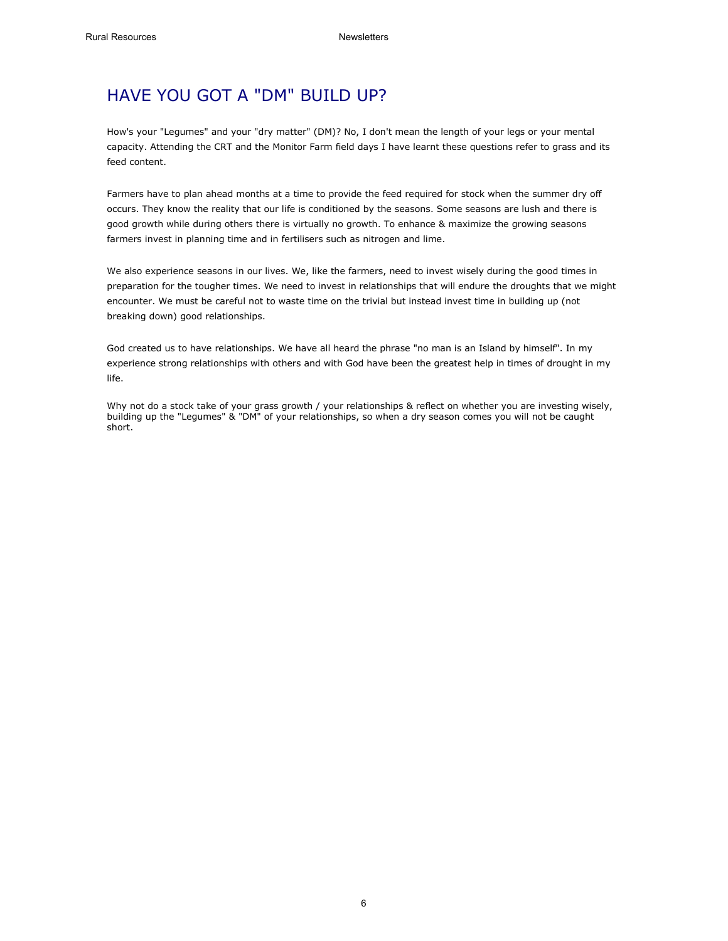#### HAVE YOU GOT A "DM" BUILD UP?

How's your "Legumes" and your "dry matter" (DM)? No, I don't mean the length of your legs or your mental capacity. Attending the CRT and the Monitor Farm field days I have learnt these questions refer to grass and its feed content.

Farmers have to plan ahead months at a time to provide the feed required for stock when the summer dry off occurs. They know the reality that our life is conditioned by the seasons. Some seasons are lush and there is good growth while during others there is virtually no growth. To enhance & maximize the growing seasons farmers invest in planning time and in fertilisers such as nitrogen and lime.

We also experience seasons in our lives. We, like the farmers, need to invest wisely during the good times in preparation for the tougher times. We need to invest in relationships that will endure the droughts that we might encounter. We must be careful not to waste time on the trivial but instead invest time in building up (not breaking down) good relationships.

God created us to have relationships. We have all heard the phrase "no man is an Island by himself". In my experience strong relationships with others and with God have been the greatest help in times of drought in my life.

Why not do a stock take of your grass growth / your relationships & reflect on whether you are investing wisely, building up the "Legumes" & "DM" of your relationships, so when a dry season comes you will not be caught short.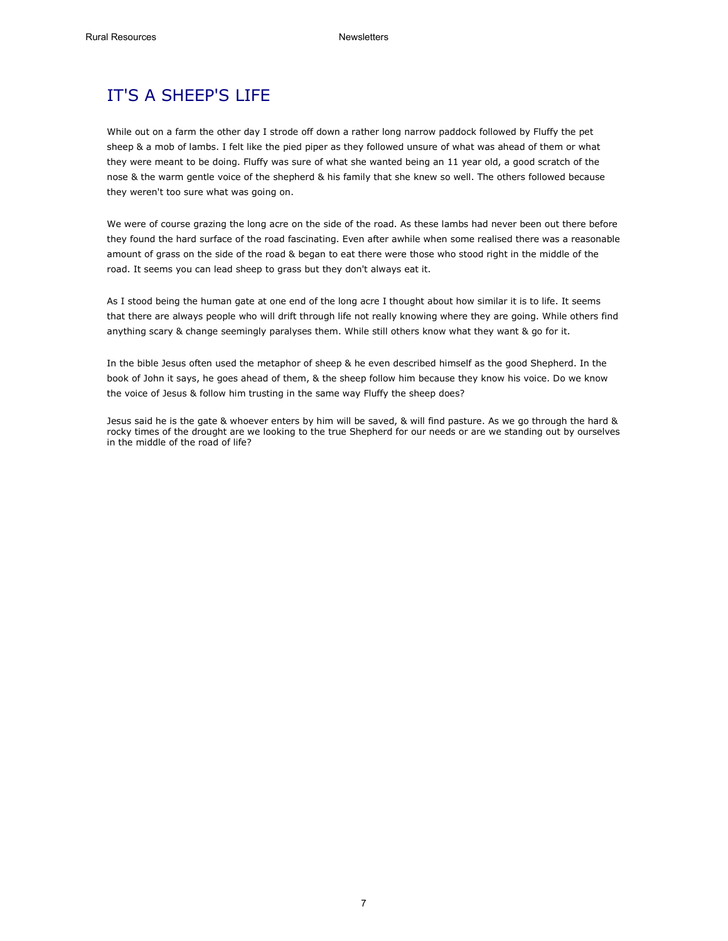# IT'S A SHEEP'S LIFE

While out on a farm the other day I strode off down a rather long narrow paddock followed by Fluffy the pet sheep & a mob of lambs. I felt like the pied piper as they followed unsure of what was ahead of them or what they were meant to be doing. Fluffy was sure of what she wanted being an 11 year old, a good scratch of the nose & the warm gentle voice of the shepherd & his family that she knew so well. The others followed because they weren't too sure what was going on.

We were of course grazing the long acre on the side of the road. As these lambs had never been out there before they found the hard surface of the road fascinating. Even after awhile when some realised there was a reasonable amount of grass on the side of the road & began to eat there were those who stood right in the middle of the road. It seems you can lead sheep to grass but they don't always eat it.

As I stood being the human gate at one end of the long acre I thought about how similar it is to life. It seems that there are always people who will drift through life not really knowing where they are going. While others find anything scary & change seemingly paralyses them. While still others know what they want & go for it.

In the bible Jesus often used the metaphor of sheep & he even described himself as the good Shepherd. In the book of John it says, he goes ahead of them, & the sheep follow him because they know his voice. Do we know the voice of Jesus & follow him trusting in the same way Fluffy the sheep does?

Jesus said he is the gate & whoever enters by him will be saved, & will find pasture. As we go through the hard & rocky times of the drought are we looking to the true Shepherd for our needs or are we standing out by ourselves in the middle of the road of life?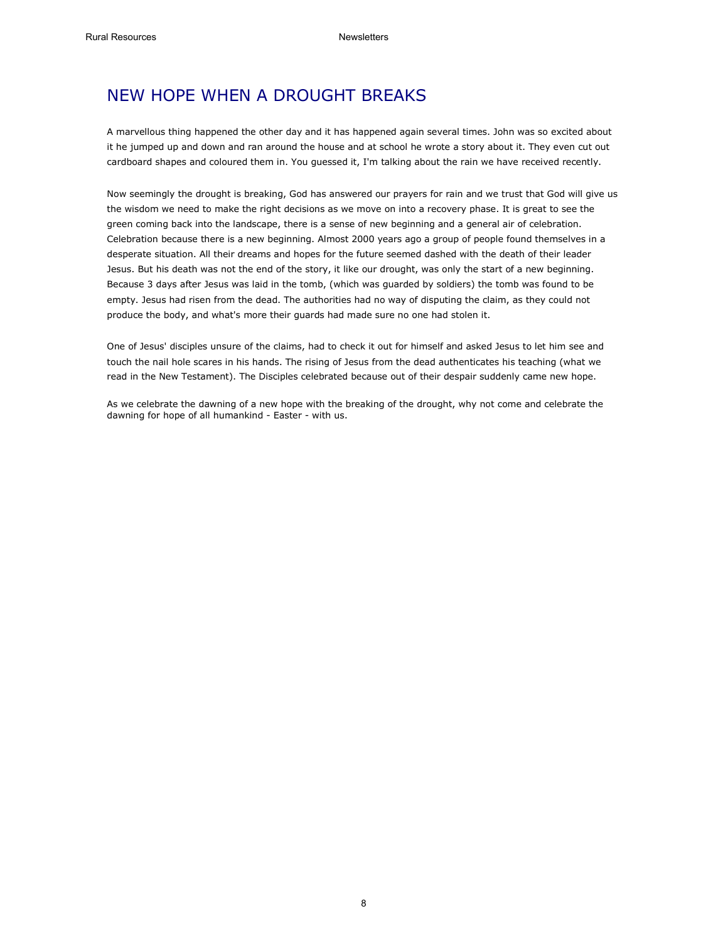### NEW HOPE WHEN A DROUGHT BREAKS

A marvellous thing happened the other day and it has happened again several times. John was so excited about it he jumped up and down and ran around the house and at school he wrote a story about it. They even cut out cardboard shapes and coloured them in. You guessed it, I'm talking about the rain we have received recently.

Now seemingly the drought is breaking, God has answered our prayers for rain and we trust that God will give us the wisdom we need to make the right decisions as we move on into a recovery phase. It is great to see the green coming back into the landscape, there is a sense of new beginning and a general air of celebration. Celebration because there is a new beginning. Almost 2000 years ago a group of people found themselves in a desperate situation. All their dreams and hopes for the future seemed dashed with the death of their leader Jesus. But his death was not the end of the story, it like our drought, was only the start of a new beginning. Because 3 days after Jesus was laid in the tomb, (which was guarded by soldiers) the tomb was found to be empty. Jesus had risen from the dead. The authorities had no way of disputing the claim, as they could not produce the body, and what's more their guards had made sure no one had stolen it.

One of Jesus' disciples unsure of the claims, had to check it out for himself and asked Jesus to let him see and touch the nail hole scares in his hands. The rising of Jesus from the dead authenticates his teaching (what we read in the New Testament). The Disciples celebrated because out of their despair suddenly came new hope.

As we celebrate the dawning of a new hope with the breaking of the drought, why not come and celebrate the dawning for hope of all humankind - Easter - with us.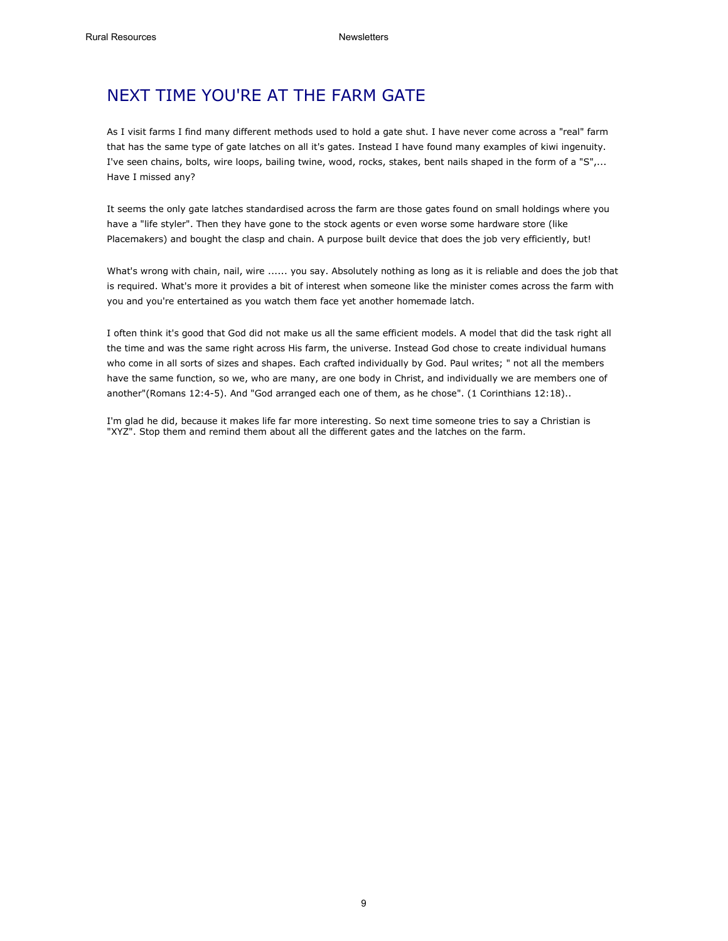#### NEXT TIME YOU'RE AT THE FARM GATE

As I visit farms I find many different methods used to hold a gate shut. I have never come across a "real" farm that has the same type of gate latches on all it's gates. Instead I have found many examples of kiwi ingenuity. I've seen chains, bolts, wire loops, bailing twine, wood, rocks, stakes, bent nails shaped in the form of a "S",... Have I missed any?

It seems the only gate latches standardised across the farm are those gates found on small holdings where you have a "life styler". Then they have gone to the stock agents or even worse some hardware store (like Placemakers) and bought the clasp and chain. A purpose built device that does the job very efficiently, but!

What's wrong with chain, nail, wire ...... you say. Absolutely nothing as long as it is reliable and does the job that is required. What's more it provides a bit of interest when someone like the minister comes across the farm with you and you're entertained as you watch them face yet another homemade latch.

I often think it's good that God did not make us all the same efficient models. A model that did the task right all the time and was the same right across His farm, the universe. Instead God chose to create individual humans who come in all sorts of sizes and shapes. Each crafted individually by God. Paul writes; " not all the members have the same function, so we, who are many, are one body in Christ, and individually we are members one of another"(Romans 12:4-5). And "God arranged each one of them, as he chose". (1 Corinthians 12:18)..

I'm glad he did, because it makes life far more interesting. So next time someone tries to say a Christian is "XYZ". Stop them and remind them about all the different gates and the latches on the farm.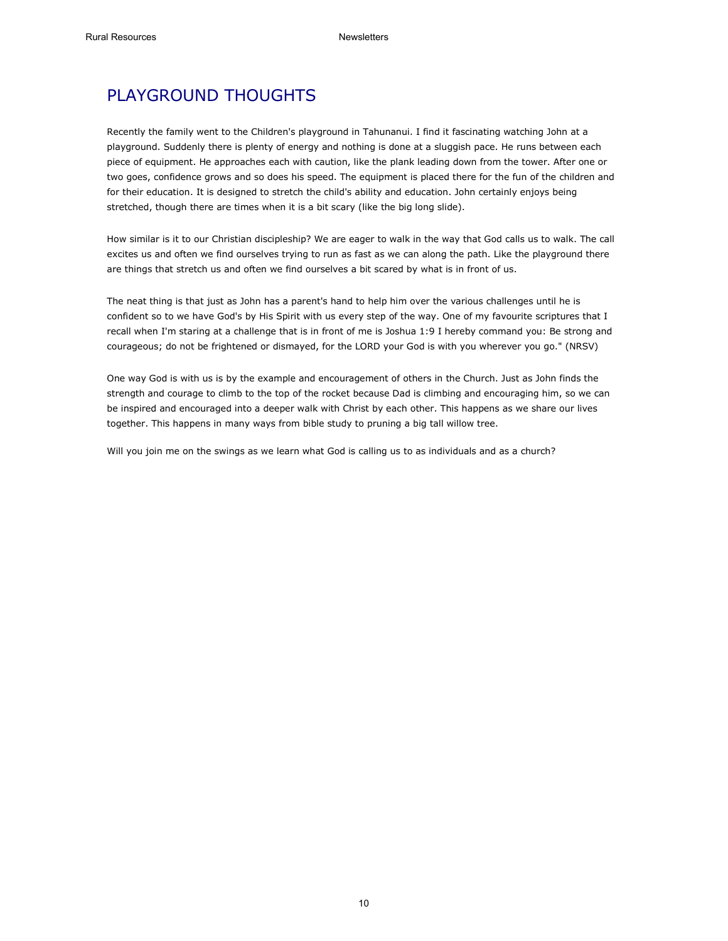# PLAYGROUND THOUGHTS

Recently the family went to the Children's playground in Tahunanui. I find it fascinating watching John at a playground. Suddenly there is plenty of energy and nothing is done at a sluggish pace. He runs between each piece of equipment. He approaches each with caution, like the plank leading down from the tower. After one or two goes, confidence grows and so does his speed. The equipment is placed there for the fun of the children and for their education. It is designed to stretch the child's ability and education. John certainly enjoys being stretched, though there are times when it is a bit scary (like the big long slide).

How similar is it to our Christian discipleship? We are eager to walk in the way that God calls us to walk. The call excites us and often we find ourselves trying to run as fast as we can along the path. Like the playground there are things that stretch us and often we find ourselves a bit scared by what is in front of us.

The neat thing is that just as John has a parent's hand to help him over the various challenges until he is confident so to we have God's by His Spirit with us every step of the way. One of my favourite scriptures that I recall when I'm staring at a challenge that is in front of me is Joshua 1:9 I hereby command you: Be strong and courageous; do not be frightened or dismayed, for the LORD your God is with you wherever you go." (NRSV)

One way God is with us is by the example and encouragement of others in the Church. Just as John finds the strength and courage to climb to the top of the rocket because Dad is climbing and encouraging him, so we can be inspired and encouraged into a deeper walk with Christ by each other. This happens as we share our lives together. This happens in many ways from bible study to pruning a big tall willow tree.

Will you join me on the swings as we learn what God is calling us to as individuals and as a church?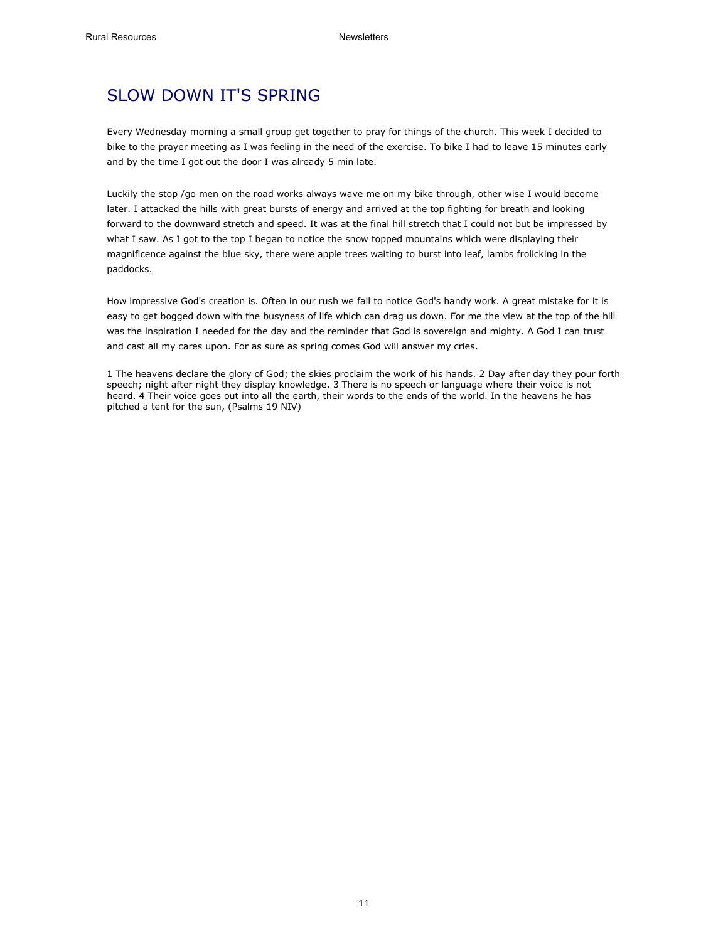### SLOW DOWN IT'S SPRING

Every Wednesday morning a small group get together to pray for things of the church. This week I decided to bike to the prayer meeting as I was feeling in the need of the exercise. To bike I had to leave 15 minutes early and by the time I got out the door I was already 5 min late.

Luckily the stop /go men on the road works always wave me on my bike through, other wise I would become later. I attacked the hills with great bursts of energy and arrived at the top fighting for breath and looking forward to the downward stretch and speed. It was at the final hill stretch that I could not but be impressed by what I saw. As I got to the top I began to notice the snow topped mountains which were displaying their magnificence against the blue sky, there were apple trees waiting to burst into leaf, lambs frolicking in the paddocks.

How impressive God's creation is. Often in our rush we fail to notice God's handy work. A great mistake for it is easy to get bogged down with the busyness of life which can drag us down. For me the view at the top of the hill was the inspiration I needed for the day and the reminder that God is sovereign and mighty. A God I can trust and cast all my cares upon. For as sure as spring comes God will answer my cries.

1 The heavens declare the glory of God; the skies proclaim the work of his hands. 2 Day after day they pour forth speech; night after night they display knowledge. 3 There is no speech or language where their voice is not heard. 4 Their voice goes out into all the earth, their words to the ends of the world. In the heavens he has pitched a tent for the sun, (Psalms 19 NIV)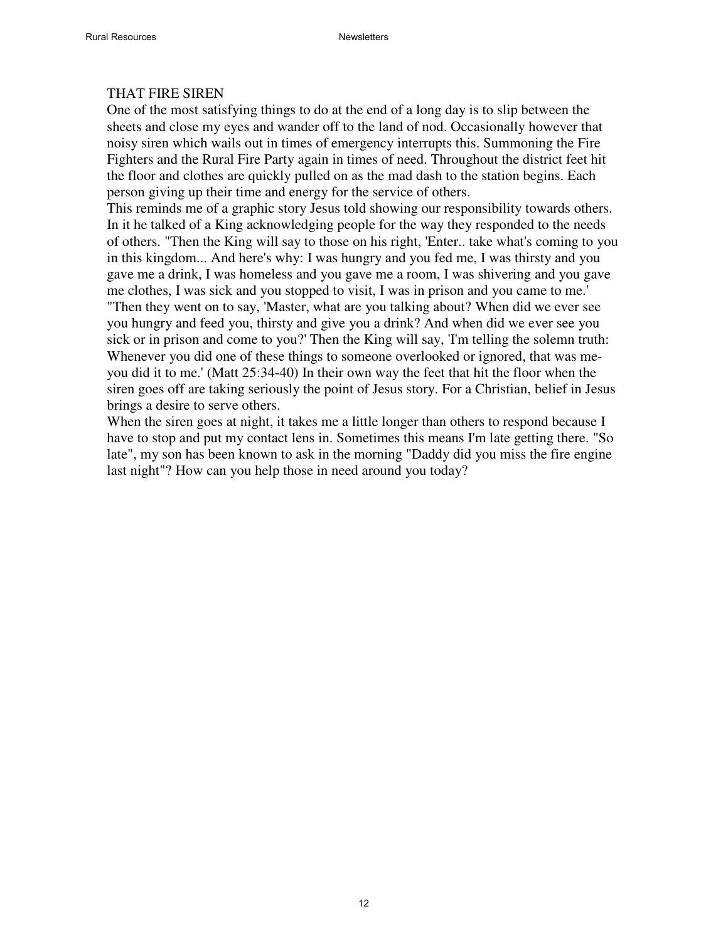#### THAT FIRE SIREN

One of the most satisfying things to do at the end of a long day is to slip between the sheets and close my eyes and wander off to the land of nod. Occasionally however that noisy siren which wails out in times of emergency interrupts this. Summoning the Fire Fighters and the Rural Fire Party again in times of need. Throughout the district feet hit the floor and clothes are quickly pulled on as the mad dash to the station begins. Each person giving up their time and energy for the service of others.

This reminds me of a graphic story Jesus told showing our responsibility towards others. In it he talked of a King acknowledging people for the way they responded to the needs of others. "Then the King will say to those on his right, 'Enter.. take what's coming to you in this kingdom... And here's why: I was hungry and you fed me, I was thirsty and you gave me a drink, I was homeless and you gave me a room, I was shivering and you gave me clothes, I was sick and you stopped to visit, I was in prison and you came to me.' "Then they went on to say, 'Master, what are you talking about? When did we ever see you hungry and feed you, thirsty and give you a drink? And when did we ever see you sick or in prison and come to you?' Then the King will say, 'I'm telling the solemn truth: Whenever you did one of these things to someone overlooked or ignored, that was meyou did it to me.' (Matt 25:34-40) In their own way the feet that hit the floor when the siren goes off are taking seriously the point of Jesus story. For a Christian, belief in Jesus brings a desire to serve others.

When the siren goes at night, it takes me a little longer than others to respond because I have to stop and put my contact lens in. Sometimes this means I'm late getting there. "So late", my son has been known to ask in the morning "Daddy did you miss the fire engine last night"? How can you help those in need around you today?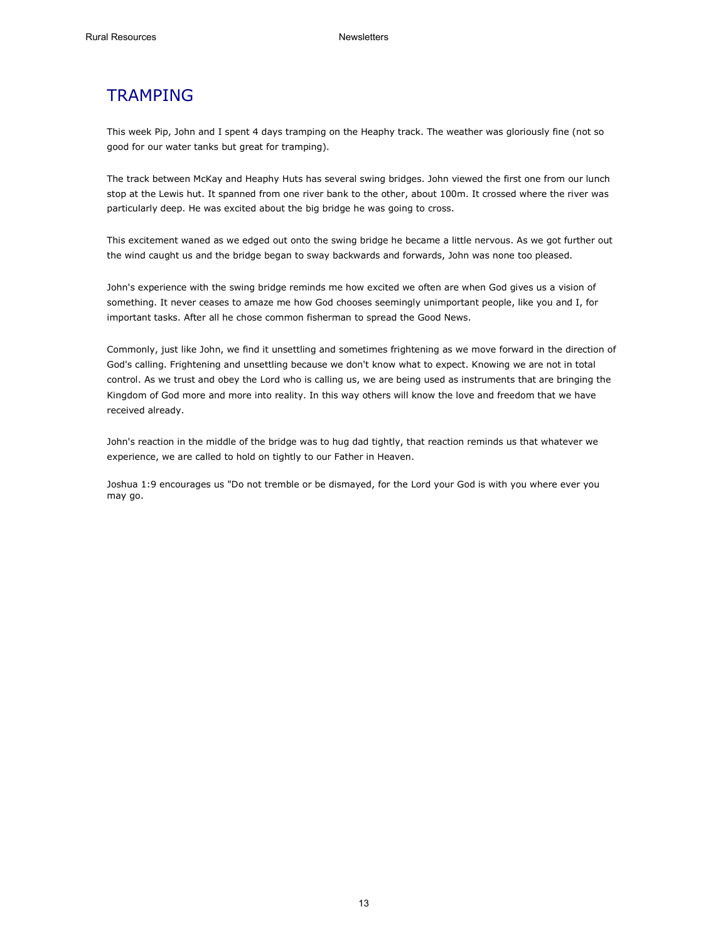### TRAMPING

This week Pip, John and I spent 4 days tramping on the Heaphy track. The weather was gloriously fine (not so good for our water tanks but great for tramping).

The track between McKay and Heaphy Huts has several swing bridges. John viewed the first one from our lunch stop at the Lewis hut. It spanned from one river bank to the other, about 100m. It crossed where the river was particularly deep. He was excited about the big bridge he was going to cross.

This excitement waned as we edged out onto the swing bridge he became a little nervous. As we got further out the wind caught us and the bridge began to sway backwards and forwards, John was none too pleased.

John's experience with the swing bridge reminds me how excited we often are when God gives us a vision of something. It never ceases to amaze me how God chooses seemingly unimportant people, like you and I, for important tasks. After all he chose common fisherman to spread the Good News.

Commonly, just like John, we find it unsettling and sometimes frightening as we move forward in the direction of God's calling. Frightening and unsettling because we don't know what to expect. Knowing we are not in total control. As we trust and obey the Lord who is calling us, we are being used as instruments that are bringing the Kingdom of God more and more into reality. In this way others will know the love and freedom that we have received already.

John's reaction in the middle of the bridge was to hug dad tightly, that reaction reminds us that whatever we experience, we are called to hold on tightly to our Father in Heaven.

Joshua 1:9 encourages us "Do not tremble or be dismayed, for the Lord your God is with you where ever you may go.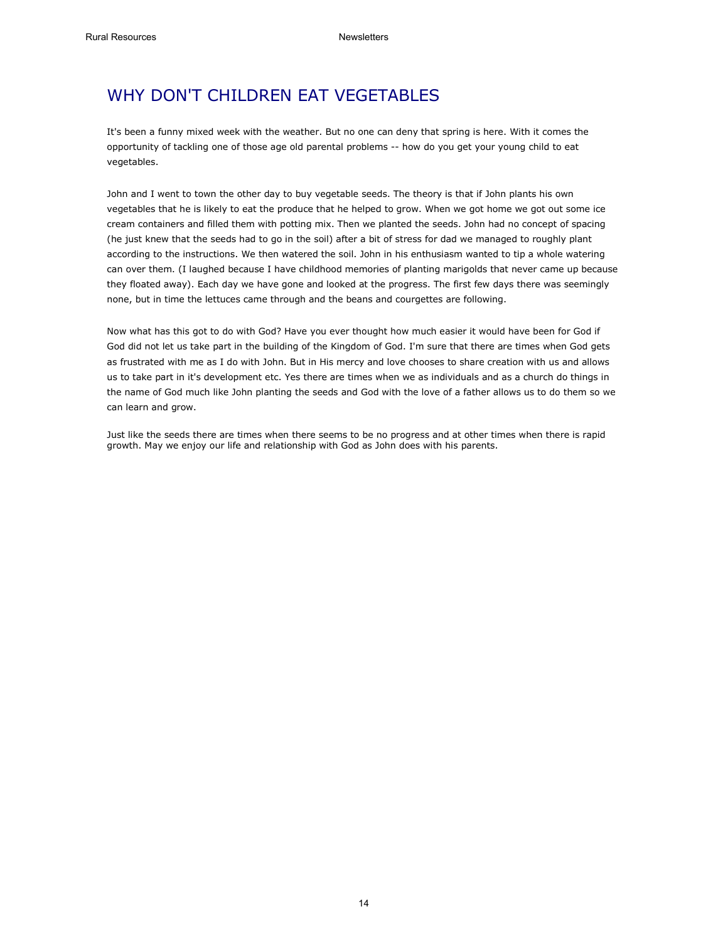#### WHY DON'T CHILDREN EAT VEGETABLES

It's been a funny mixed week with the weather. But no one can deny that spring is here. With it comes the opportunity of tackling one of those age old parental problems -- how do you get your young child to eat vegetables.

John and I went to town the other day to buy vegetable seeds. The theory is that if John plants his own vegetables that he is likely to eat the produce that he helped to grow. When we got home we got out some ice cream containers and filled them with potting mix. Then we planted the seeds. John had no concept of spacing (he just knew that the seeds had to go in the soil) after a bit of stress for dad we managed to roughly plant according to the instructions. We then watered the soil. John in his enthusiasm wanted to tip a whole watering can over them. (I laughed because I have childhood memories of planting marigolds that never came up because they floated away). Each day we have gone and looked at the progress. The first few days there was seemingly none, but in time the lettuces came through and the beans and courgettes are following.

Now what has this got to do with God? Have you ever thought how much easier it would have been for God if God did not let us take part in the building of the Kingdom of God. I'm sure that there are times when God gets as frustrated with me as I do with John. But in His mercy and love chooses to share creation with us and allows us to take part in it's development etc. Yes there are times when we as individuals and as a church do things in the name of God much like John planting the seeds and God with the love of a father allows us to do them so we can learn and grow.

Just like the seeds there are times when there seems to be no progress and at other times when there is rapid growth. May we enjoy our life and relationship with God as John does with his parents.